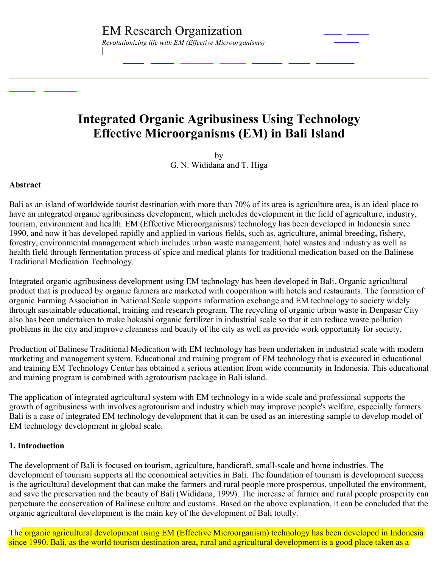# **Integrated Organic Agribusiness Using Technology Effective Microorganisms (EM) in Bali Island**

by G. N. Wididana and T. Higa

### **Abstract**

Bali as an island of worldwide tourist destination with more than 70% of its area is agriculture area, is an ideal place to have an integrated organic agribusiness development, which includes development in the field of agriculture, industry, tourism, environment and health. EM (Effective Microorganisms) technology has been developed in Indonesia since 1990, and now it has developed rapidly and applied in various fields, such as, agriculture, animal breeding, fishery, forestry, environmental management which includes urban waste management, hotel wastes and industry as well as health field through fermentation process of spice and medical plants for traditional medication based on the Balinese Traditional Medication Technology.

Integrated organic agribusiness development using EM technology has been developed in Bali. Organic agricultural product that is produced by organic farmers are marketed with cooperation with hotels and restaurants. The formation of organic Farming Association in National Scale supports information exchange and EM technology to society widely through sustainable educational, training and research program. The recycling of organic urban waste in Denpasar City also has been undertaken to make bokashi organic fertilizer in industrial scale so that it can reduce waste pollution problems in the city and improve cleanness and beauty of the city as well as provide work opportunity for society.

Production of Balinese Traditional Medication with EM technology has been undertaken in industrial scale with modern marketing and management system. Educational and training program of EM technology that is executed in educational and training EM Technology Center has obtained a serious attention from wide community in Indonesia. This educational and training program is combined with agrotourism package in Bali island.

The application of integrated agricultural system with EM technology in a wide scale and professional supports the growth of agribusiness with involves agrotourism and industry which may improve people's welfare, especially farmers. Bali is a case of integrated EM technology development that it can be used as an interesting sample to develop model of EM technology development in global scale.

# **1. Introduction**

The development of Bali is focused on tourism, agriculture, handicraft, small-scale and home industries. The development of tourism supports all the economical activities in Bali. The foundation of tourism is development success is the agricultural development that can make the farmers and rural people more prosperous, unpolluted the environment, and save the preservation and the beauty of Bali (Wididana, 1999). The increase of farmer and rural people prosperity can perpetuate the conservation of Balinese culture and customs. Based on the above explanation, it can be concluded that the organic agricultural development is the main key of the development of Bali totally.

The organic agricultural development using EM (Effective Microorganism) technology has been developed in Indonesia since 1990. Bali, as the world tourism destination area, rural and agricultural development is a good place taken as a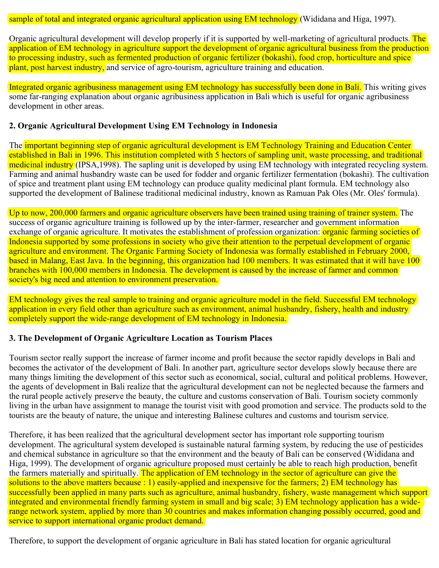sample of total and integrated organic agricultural application using EM technology (Wididana and Higa, 1997).

Organic agricultural development will develop properly if it is supported by well-marketing of agricultural products. The application of EM technology in agriculture support the development of organic agricultural business from the production to processing industry, such as fermented production of organic fertilizer (bokashi), food crop, horticulture and spice plant, post harvest industry, and service of agro-tourism, agriculture training and education.

Integrated organic agribusiness management using EM technology has successfully been done in Bali. This writing gives some far-ranging explanation about organic agribusiness application in Bali which is useful for organic agribusiness development in other areas.

# **2. Organic Agricultural Development Using EM Technology in Indonesia**

The important beginning step of organic agricultural development is EM Technology Training and Education Center established in Bali in 1996. This institution completed with 5 hectors of sampling unit, waste processing, and traditional medicinal industry (IPSA,1998). The sapling unit is developed by using EM technology with integrated recycling system. Farming and animal husbandry waste can be used for fodder and organic fertilizer fermentation (bokashi). The cultivation of spice and treatment plant using EM technology can produce quality medicinal plant formula. EM technology also supported the development of Balinese traditional medicinal industry, known as Ramuan Pak Oles (Mr. Oles' formula).

Up to now, 200,000 farmers and organic agriculture observers have been trained using training of trainer system. The success of organic agriculture training is followed up by the inter-farmer, researcher and government information exchange of organic agriculture. It motivates the establishment of profession organization: **organic farming societies of** Indonesia supported by some professions in society who give their attention to the perpetual development of organic agriculture and environment. The Organic Farming Society of Indonesia was formally established in February 2000, based in Malang, East Java. In the beginning, this organization had 100 members. It was estimated that it will have 100 branches with 100,000 members in Indonesia. The development is caused by the increase of farmer and common society's big need and attention to environment preservation.

EM technology gives the real sample to training and organic agriculture model in the field. Successful EM technology application in every field other than agriculture such as environment, animal husbandry, fishery, health and industry completely support the wide-range development of EM technology in Indonesia.

#### **3. The Development of Organic Agriculture Location as Tourism Places**

Tourism sector really support the increase of farmer income and profit because the sector rapidly develops in Bali and becomes the activator of the development of Bali. In another part, agriculture sector develops slowly because there are many things limiting the development of this sector such as economical, social, cultural and political problems. However, the agents of development in Bali realize that the agricultural development can not be neglected because the farmers and the rural people actively preserve the beauty, the culture and customs conservation of Bali. Tourism society commonly living in the urban have assignment to manage the tourist visit with good promotion and service. The products sold to the tourists are the beauty of nature, the unique and interesting Balinese cultures and customs and tourism service.

Therefore, it has been realized that the agricultural development sector has important role supporting tourism development. The agricultural system developed is sustainable natural farming system, by reducing the use of pesticides and chemical substance in agriculture so that the environment and the beauty of Bali can be conserved (Wididana and Higa, 1999). The development of organic agriculture proposed must certainly be able to reach high production, benefit the farmers materially and spiritually. The application of EM technology in the sector of agriculture can give the solutions to the above matters because : 1) easily-applied and inexpensive for the farmers; 2) EM technology has successfully been applied in many parts such as agriculture, animal husbandry, fishery, waste management which support integrated and environmental friendly farming system in small and big scale; 3) EM technology application has a widerange network system, applied by more than 30 countries and makes information changing possibly occurred, good and service to support international organic product demand.

Therefore, to support the development of organic agriculture in Bali has stated location for organic agricultural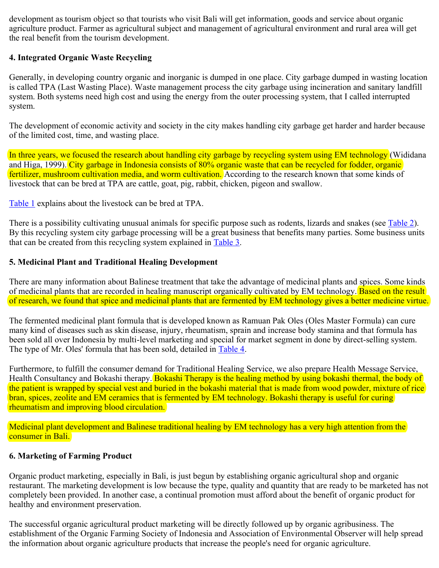development as tourism object so that tourists who visit Bali will get information, goods and service about organic agriculture product. Farmer as agricultural subject and management of agricultural environment and rural area will get the real benefit from the tourism development.

# **4. Integrated Organic Waste Recycling**

Generally, in developing country organic and inorganic is dumped in one place. City garbage dumped in wasting location is called TPA (Last Wasting Place). Waste management process the city garbage using incineration and sanitary landfill system. Both systems need high cost and using the energy from the outer processing system, that I called interrupted system.

The development of economic activity and society in the city makes handling city garbage get harder and harder because of the limited cost, time, and wasting place.

In three years, we focused the research about handling city garbage by recycling system using EM technology (Wididana and Higa, 1999). City garbage in Indonesia consists of 80% organic waste that can be recycled for fodder, organic fertilizer, mushroom cultivation media, and worm cultivation. According to the research known that some kinds of livestock that can be bred at TPA are cattle, goat, pig, rabbit, chicken, pigeon and swallow.

Table 1 explains about the livestock can be bred at TPA.

There is a possibility cultivating unusual animals for specific purpose such as rodents, lizards and snakes (see Table 2). By this recycling system city garbage processing will be a great business that benefits many parties. Some business units that can be created from this recycling system explained in Table 3.

# **5. Medicinal Plant and Traditional Healing Development**

There are many information about Balinese treatment that take the advantage of medicinal plants and spices. Some kinds of medicinal plants that are recorded in healing manuscript organically cultivated by EM technology. Based on the result of research, we found that spice and medicinal plants that are fermented by EM technology gives a better medicine virtue.

The fermented medicinal plant formula that is developed known as Ramuan Pak Oles (Oles Master Formula) can cure many kind of diseases such as skin disease, injury, rheumatism, sprain and increase body stamina and that formula has been sold all over Indonesia by multi-level marketing and special for market segment in done by direct-selling system. The type of Mr. Oles' formula that has been sold, detailed in Table 4.

Furthermore, to fulfill the consumer demand for Traditional Healing Service, we also prepare Health Message Service, Health Consultancy and Bokashi therapy. Bokashi Therapy is the healing method by using bokashi thermal, the body of the patient is wrapped by special vest and buried in the bokashi material that is made from wood powder, mixture of rice bran, spices, zeolite and EM ceramics that is fermented by EM technology. Bokashi therapy is useful for curing rheumatism and improving blood circulation.

Medicinal plant development and Balinese traditional healing by EM technology has a very high attention from the consumer in Bali.

# **6. Marketing of Farming Product**

Organic product marketing, especially in Bali, is just begun by establishing organic agricultural shop and organic restaurant. The marketing development is low because the type, quality and quantity that are ready to be marketed has not completely been provided. In another case, a continual promotion must afford about the benefit of organic product for healthy and environment preservation.

The successful organic agricultural product marketing will be directly followed up by organic agribusiness. The establishment of the Organic Farming Society of Indonesia and Association of Environmental Observer will help spread the information about organic agriculture products that increase the people's need for organic agriculture.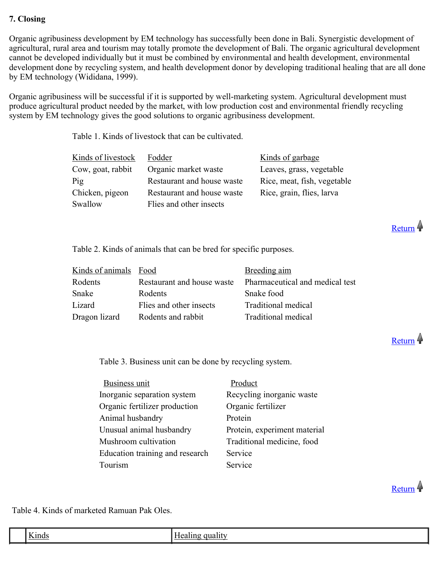# **7. Closing**

Organic agribusiness development by EM technology has successfully been done in Bali. Synergistic development of agricultural, rural area and tourism may totally promote the development of Bali. The organic agricultural development cannot be developed individually but it must be combined by environmental and health development, environmental development done by recycling system, and health development donor by developing traditional healing that are all done by EM technology (Wididana, 1999).

Organic agribusiness will be successful if it is supported by well-marketing system. Agricultural development must produce agricultural product needed by the market, with low production cost and environmental friendly recycling system by EM technology gives the good solutions to organic agribusiness development.

Table 1. Kinds of livestock that can be cultivated.

| Kinds of livestock | Fodder                     | Kinds of garbage            |
|--------------------|----------------------------|-----------------------------|
| Cow, goat, rabbit  | Organic market waste       | Leaves, grass, vegetable    |
| Pig                | Restaurant and house waste | Rice, meat, fish, vegetable |
| Chicken, pigeon    | Restaurant and house waste | Rice, grain, flies, larva   |
| Swallow            | Flies and other insects    |                             |

Table 2. Kinds of animals that can be bred for specific purposes.

| Kinds of animals Food |                            | Breeding aim                    |
|-----------------------|----------------------------|---------------------------------|
| Rodents               | Restaurant and house waste | Pharmaceutical and medical test |
| Snake                 | Rodents                    | Snake food                      |
| Lizard                | Flies and other insects    | Traditional medical             |
| Dragon lizard         | Rodents and rabbit         | Traditional medical             |

Return 4

Return 4

Table 3. Business unit can be done by recycling system.

| Business unit                   | Product                      |
|---------------------------------|------------------------------|
| Inorganic separation system     | Recycling inorganic waste    |
| Organic fertilizer production   | Organic fertilizer           |
| Animal husbandry                | Protein                      |
| Unusual animal husbandry        | Protein, experiment material |
| Mushroom cultivation            | Traditional medicine, food   |
| Education training and research | Service                      |
| Tourism                         | Service                      |

Return 4

Table 4. Kinds of marketed Ramuan Pak Oles.

| $-$<br>$-1$<br>، اص<br>$V$ <i>mar</i> |  |
|---------------------------------------|--|
|                                       |  |